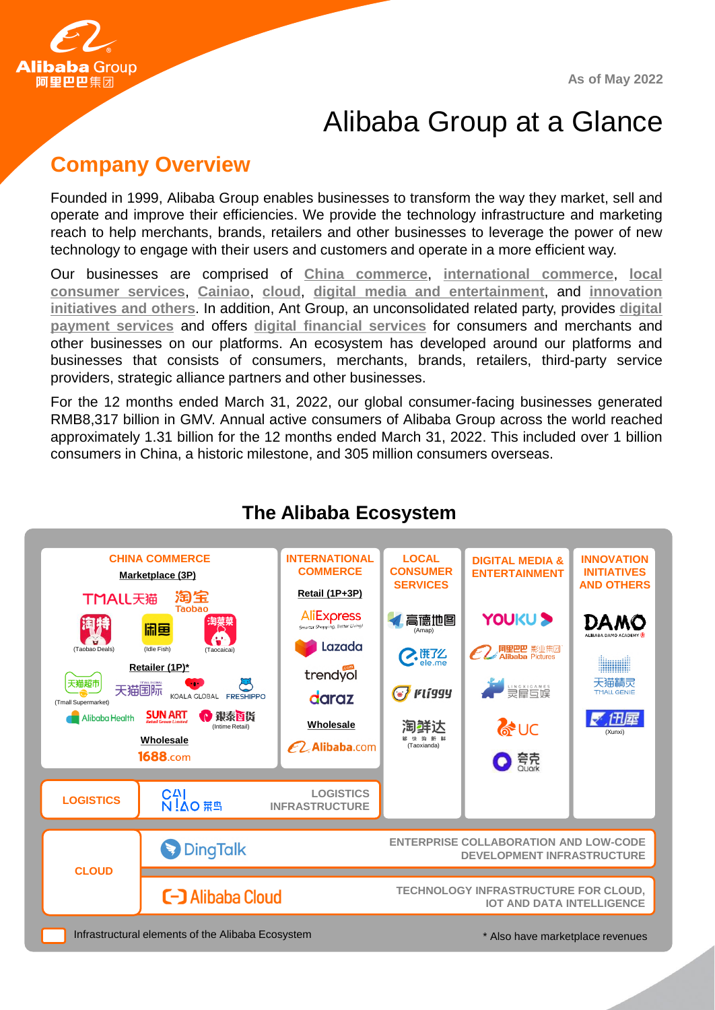**As of May 2022**



# Alibaba Group at a Glance

### **Company Overview**

Founded in 1999, Alibaba Group enables businesses to transform the way they market, sell and operate and improve their efficiencies. We provide the technology infrastructure and marketing reach to help merchants, brands, retailers and other businesses to leverage the power of new technology to engage with their users and customers and operate in a more efficient way.

Our businesses are comprised of **China commerce**, **international commerce**, **local consumer services**, **Cainiao**, **cloud**, **digital media and entertainment**, and **innovation initiatives and others**. In addition, Ant Group, an unconsolidated related party, provides **digital payment services** and offers **digital financial services** for consumers and merchants and other businesses on our platforms. An ecosystem has developed around our platforms and businesses that consists of consumers, merchants, brands, retailers, third-party service providers, strategic alliance partners and other businesses.

For the 12 months ended March 31, 2022, our global consumer-facing businesses generated RMB8,317 billion in GMV. Annual active consumers of Alibaba Group across the world reached approximately 1.31 billion for the 12 months ended March 31, 2022. This included over 1 billion consumers in China, a historic milestone, and 305 million consumers overseas.



### **The Alibaba Ecosystem**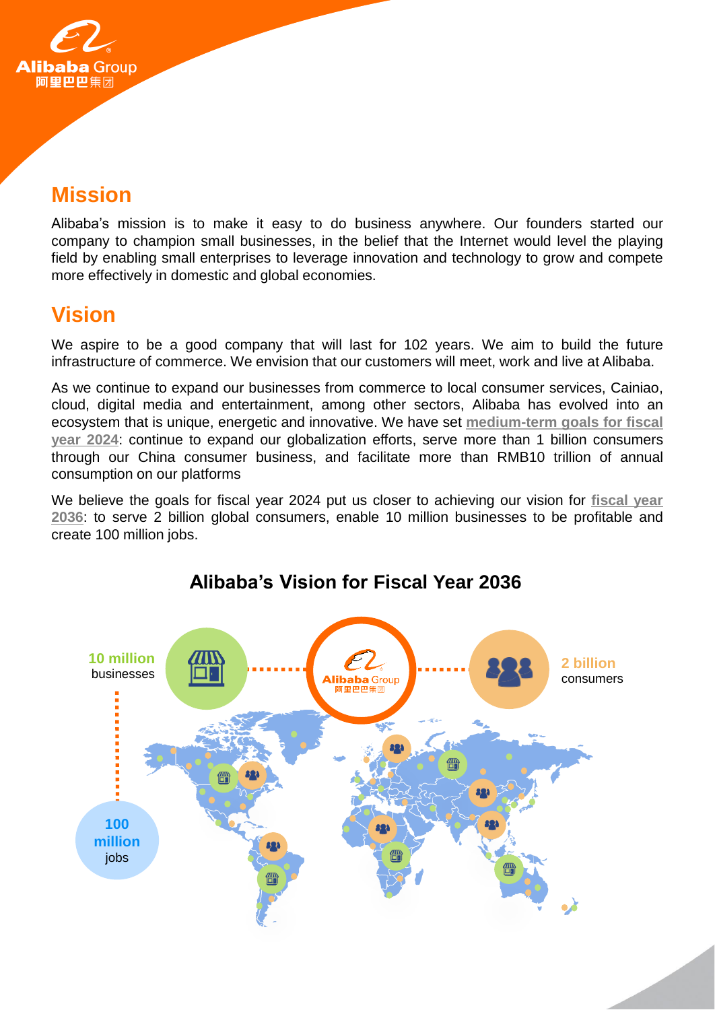

## **Mission**

Alibaba's mission is to make it easy to do business anywhere. Our founders started our company to champion small businesses, in the belief that the Internet would level the playing field by enabling small enterprises to leverage innovation and technology to grow and compete more effectively in domestic and global economies.

## **Vision**

We aspire to be a good company that will last for 102 years. We aim to build the future infrastructure of commerce. We envision that our customers will meet, work and live at Alibaba.

As we continue to expand our businesses from commerce to local consumer services, Cainiao, cloud, digital media and entertainment, among other sectors, Alibaba has evolved into an ecosystem that is unique, energetic and innovative. We have set **medium-term goals for fiscal year 2024**: continue to expand our globalization efforts, serve more than 1 billion consumers through our China consumer business, and facilitate more than RMB10 trillion of annual consumption on our platforms

We believe the goals for fiscal year 2024 put us closer to achieving our vision for **fiscal year 2036**: to serve 2 billion global consumers, enable 10 million businesses to be profitable and create 100 million jobs.



### **Alibaba's Vision for Fiscal Year 2036**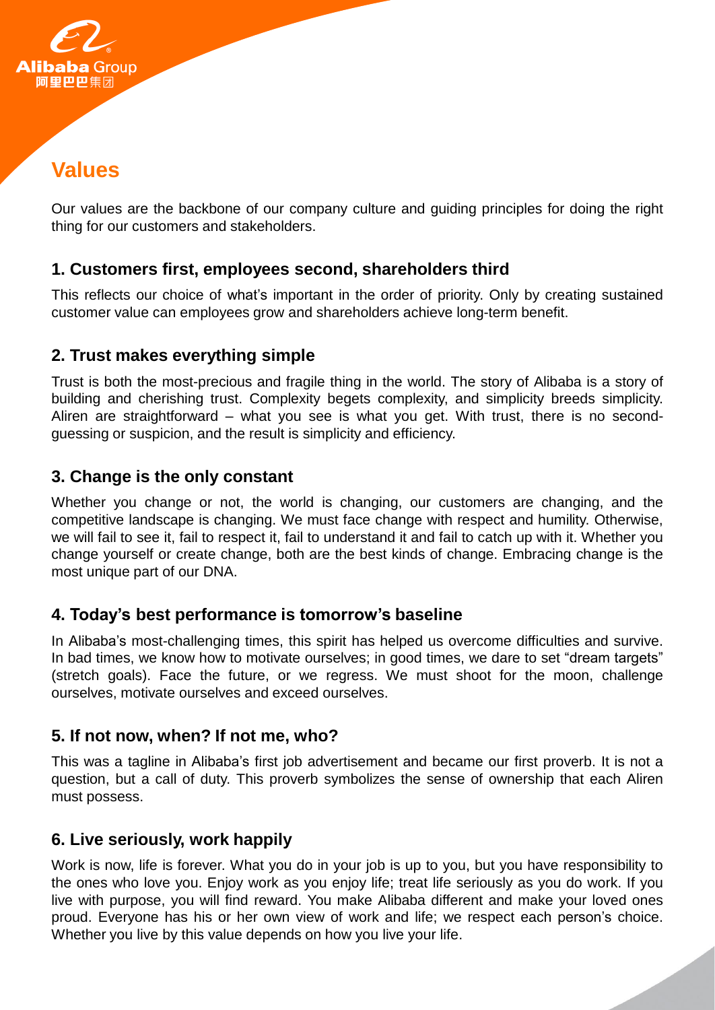

# **Values**

Our values are the backbone of our company culture and guiding principles for doing the right thing for our customers and stakeholders.

#### **1. Customers first, employees second, shareholders third**

This reflects our choice of what's important in the order of priority. Only by creating sustained customer value can employees grow and shareholders achieve long-term benefit.

#### **2. Trust makes everything simple**

Trust is both the most-precious and fragile thing in the world. The story of Alibaba is a story of building and cherishing trust. Complexity begets complexity, and simplicity breeds simplicity. Aliren are straightforward – what you see is what you get. With trust, there is no secondguessing or suspicion, and the result is simplicity and efficiency.

#### **3. Change is the only constant**

Whether you change or not, the world is changing, our customers are changing, and the competitive landscape is changing. We must face change with respect and humility. Otherwise, we will fail to see it, fail to respect it, fail to understand it and fail to catch up with it. Whether you change yourself or create change, both are the best kinds of change. Embracing change is the most unique part of our DNA.

#### **4. Today's best performance is tomorrow's baseline**

In Alibaba's most-challenging times, this spirit has helped us overcome difficulties and survive. In bad times, we know how to motivate ourselves; in good times, we dare to set "dream targets" (stretch goals). Face the future, or we regress. We must shoot for the moon, challenge ourselves, motivate ourselves and exceed ourselves.

#### **5. If not now, when? If not me, who?**

This was a tagline in Alibaba's first job advertisement and became our first proverb. It is not a question, but a call of duty. This proverb symbolizes the sense of ownership that each Aliren must possess.

#### **6. Live seriously, work happily**

Work is now, life is forever. What you do in your job is up to you, but you have responsibility to the ones who love you. Enjoy work as you enjoy life; treat life seriously as you do work. If you live with purpose, you will find reward. You make Alibaba different and make your loved ones proud. Everyone has his or her own view of work and life; we respect each person's choice. Whether you live by this value depends on how you live your life.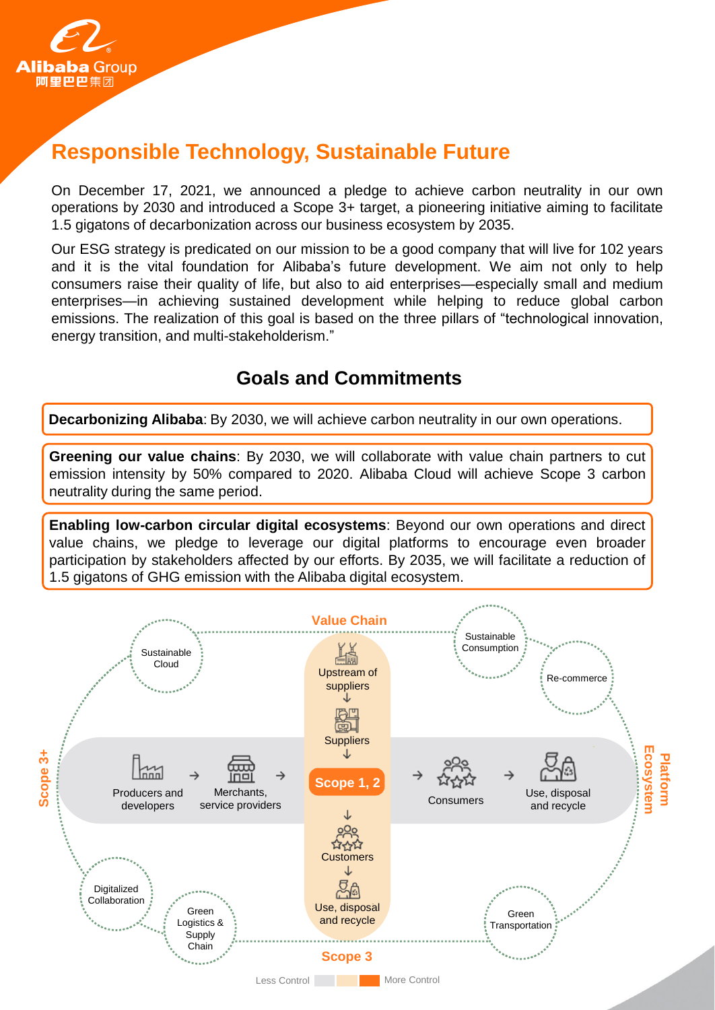

# **Responsible Technology, Sustainable Future**

On December 17, 2021, we announced a pledge to achieve carbon neutrality in our own operations by 2030 and introduced a Scope 3+ target, a pioneering initiative aiming to facilitate 1.5 gigatons of decarbonization across our business ecosystem by 2035.

Our ESG strategy is predicated on our mission to be a good company that will live for 102 years and it is the vital foundation for Alibaba's future development. We aim not only to help consumers raise their quality of life, but also to aid enterprises—especially small and medium enterprises—in achieving sustained development while helping to reduce global carbon emissions. The realization of this goal is based on the three pillars of "technological innovation, energy transition, and multi-stakeholderism."

### **Goals and Commitments**

**Decarbonizing Alibaba**: By 2030, we will achieve carbon neutrality in our own operations.

**Greening our value chains**: By 2030, we will collaborate with value chain partners to cut emission intensity by 50% compared to 2020. Alibaba Cloud will achieve Scope 3 carbon neutrality during the same period.

**Enabling low-carbon circular digital ecosystems**: Beyond our own operations and direct value chains, we pledge to leverage our digital platforms to encourage even broader participation by stakeholders affected by our efforts. By 2035, we will facilitate a reduction of 1.5 gigatons of GHG emission with the Alibaba digital ecosystem.

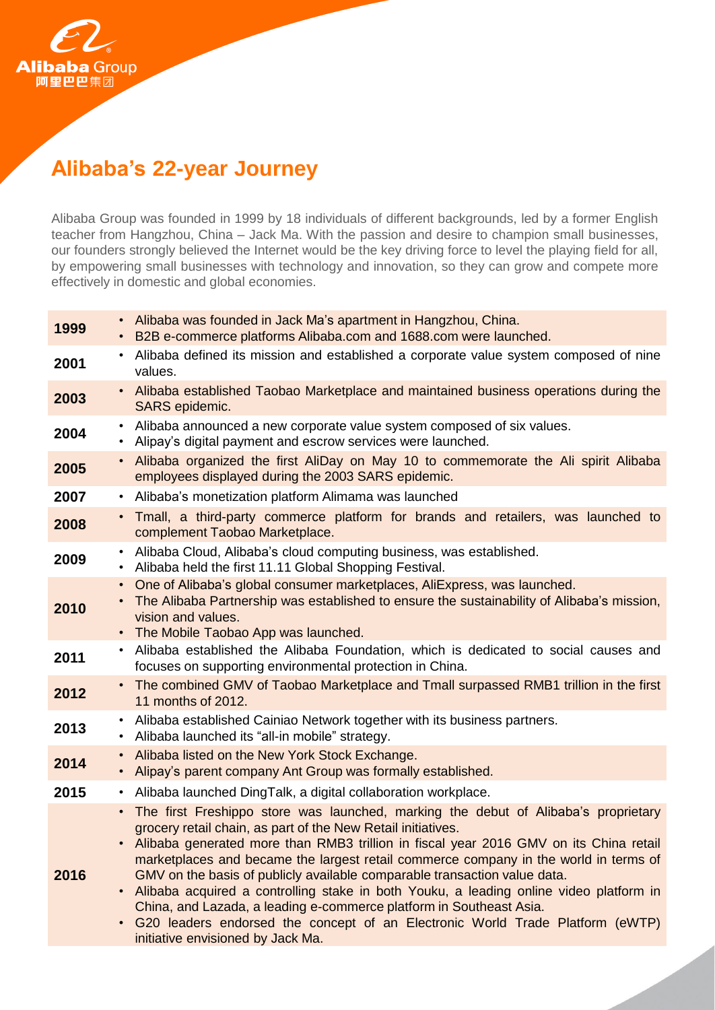

# **Alibaba's 22-year Journey**

Alibaba Group was founded in 1999 by 18 individuals of different backgrounds, led by a former English teacher from Hangzhou, China – Jack Ma. With the passion and desire to champion small businesses, our founders strongly believed the Internet would be the key driving force to level the playing field for all, by empowering small businesses with technology and innovation, so they can grow and compete more effectively in domestic and global economies.

| Alibaba was founded in Jack Ma's apartment in Hangzhou, China.<br>B2B e-commerce platforms Alibaba.com and 1688.com were launched.                                                                                                                                                                                                                                                                                                                                                                                                                                                                                                                                                                                                               |
|--------------------------------------------------------------------------------------------------------------------------------------------------------------------------------------------------------------------------------------------------------------------------------------------------------------------------------------------------------------------------------------------------------------------------------------------------------------------------------------------------------------------------------------------------------------------------------------------------------------------------------------------------------------------------------------------------------------------------------------------------|
| Alibaba defined its mission and established a corporate value system composed of nine<br>$\bullet$<br>values.                                                                                                                                                                                                                                                                                                                                                                                                                                                                                                                                                                                                                                    |
| • Alibaba established Taobao Marketplace and maintained business operations during the<br>SARS epidemic.                                                                                                                                                                                                                                                                                                                                                                                                                                                                                                                                                                                                                                         |
| Alibaba announced a new corporate value system composed of six values.<br>$\bullet$<br>Alipay's digital payment and escrow services were launched.<br>$\bullet$                                                                                                                                                                                                                                                                                                                                                                                                                                                                                                                                                                                  |
| • Alibaba organized the first AliDay on May 10 to commemorate the Ali spirit Alibaba<br>employees displayed during the 2003 SARS epidemic.                                                                                                                                                                                                                                                                                                                                                                                                                                                                                                                                                                                                       |
| Alibaba's monetization platform Alimama was launched<br>$\bullet$                                                                                                                                                                                                                                                                                                                                                                                                                                                                                                                                                                                                                                                                                |
| • Tmall, a third-party commerce platform for brands and retailers, was launched to<br>complement Taobao Marketplace.                                                                                                                                                                                                                                                                                                                                                                                                                                                                                                                                                                                                                             |
| Alibaba Cloud, Alibaba's cloud computing business, was established.<br>$\bullet$<br>Alibaba held the first 11.11 Global Shopping Festival.<br>٠                                                                                                                                                                                                                                                                                                                                                                                                                                                                                                                                                                                                  |
| One of Alibaba's global consumer marketplaces, AliExpress, was launched.<br>$\bullet$<br>The Alibaba Partnership was established to ensure the sustainability of Alibaba's mission,<br>$\bullet$<br>vision and values.<br>The Mobile Taobao App was launched.<br>٠                                                                                                                                                                                                                                                                                                                                                                                                                                                                               |
| • Alibaba established the Alibaba Foundation, which is dedicated to social causes and<br>focuses on supporting environmental protection in China.                                                                                                                                                                                                                                                                                                                                                                                                                                                                                                                                                                                                |
| • The combined GMV of Taobao Marketplace and Tmall surpassed RMB1 trillion in the first<br>11 months of 2012.                                                                                                                                                                                                                                                                                                                                                                                                                                                                                                                                                                                                                                    |
| Alibaba established Cainiao Network together with its business partners.<br>$\bullet$<br>Alibaba launched its "all-in mobile" strategy.<br>$\bullet$                                                                                                                                                                                                                                                                                                                                                                                                                                                                                                                                                                                             |
| Alibaba listed on the New York Stock Exchange.<br>$\bullet$<br>Alipay's parent company Ant Group was formally established.<br>$\bullet$                                                                                                                                                                                                                                                                                                                                                                                                                                                                                                                                                                                                          |
| Alibaba launched DingTalk, a digital collaboration workplace.<br>٠                                                                                                                                                                                                                                                                                                                                                                                                                                                                                                                                                                                                                                                                               |
| The first Freshippo store was launched, marking the debut of Alibaba's proprietary<br>$\bullet$<br>grocery retail chain, as part of the New Retail initiatives.<br>• Alibaba generated more than RMB3 trillion in fiscal year 2016 GMV on its China retail<br>marketplaces and became the largest retail commerce company in the world in terms of<br>GMV on the basis of publicly available comparable transaction value data.<br>Alibaba acquired a controlling stake in both Youku, a leading online video platform in<br>$\bullet$<br>China, and Lazada, a leading e-commerce platform in Southeast Asia.<br>G20 leaders endorsed the concept of an Electronic World Trade Platform (eWTP)<br>$\bullet$<br>initiative envisioned by Jack Ma. |
|                                                                                                                                                                                                                                                                                                                                                                                                                                                                                                                                                                                                                                                                                                                                                  |